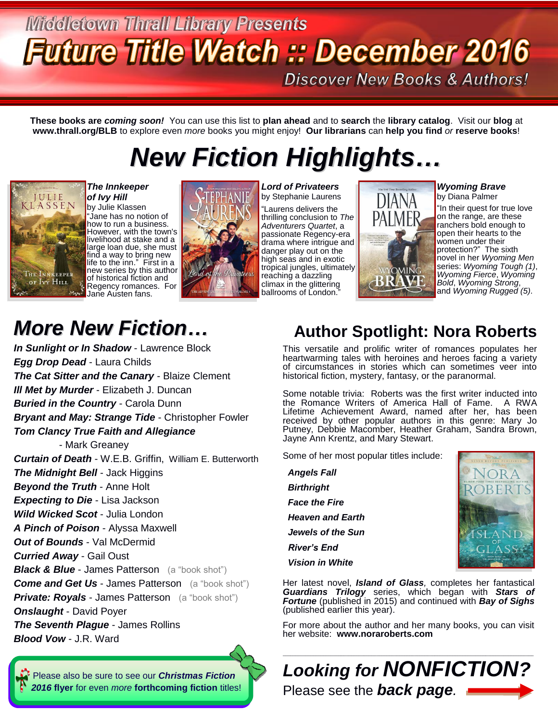## **Middletown Thrall Library Presents Future Title Watch :: December 2016 Discover New Books & Authors!**

**These books are** *coming soon!* You can use this list to **plan ahead** and to **search** the **library catalog**. Visit our **blog** at **www.thrall.org/BLB** to explore even *more* books you might enjoy! **Our librarians** can **help you find** *or* **reserve books**!

# *New Fiction Highlights…*



*The Innkeeper of Ivy Hill*

by Julie Klassen "Jane has no notion of how to run a business. However, with the town's livelihood at stake and a large loan due, she must find a way to bring new life to the inn." First in a new series by this author of historical fiction and Regency romances. For Jane Austen fans.



*Lord of Privateers*  by Stephanie Laurens "Laurens delivers the thrilling conclusion to *The Adventurers Quartet*, a passionate Regency-era drama where intrigue and danger play out on the high seas and in exotic tropical jungles, ultimately reaching a dazzling climax in the glittering ballrooms of London."



*Wyoming Brave* by Diana Palmer

"In their quest for true love on the range, are these ranchers bold enough to open their hearts to the women under their protection?" The sixth novel in her *Wyoming Men* series: *Wyoming Tough (1)*, *Wyoming Fierce*, *Wyoming Bold*, *Wyoming Strong*, and *Wyoming Rugged (5)*.

# *More New Fiction…*

*In Sunlight or In Shadow* - Lawrence Block *Egg Drop Dead* - Laura Childs *The Cat Sitter and the Canary* - Blaize Clement *Ill Met by Murder* - Elizabeth J. Duncan *Buried in the Country* - Carola Dunn *Bryant and May: Strange Tide* - Christopher Fowler *Tom Clancy True Faith and Allegiance* - Mark Greaney *Curtain of Death* - W.E.B. Griffin, William E. Butterworth *The Midnight Bell* - Jack Higgins *Beyond the Truth* - Anne Holt *Expecting to Die* - Lisa Jackson *Wild Wicked Scot* - Julia London *A Pinch of Poison* - Alyssa Maxwell *Out of Bounds* - Val McDermid *Curried Away* - Gail Oust *Black & Blue* - James Patterson (a "book shot") **Come and Get Us - James Patterson** (a "book shot") **Private: Royals - James Patterson** (a "book shot") *Onslaught* - David Poyer *The Seventh Plague* - James Rollins

*Blood Vow* - J.R. Ward

 [Please also be sure to see our](http://www.thrall.org/docs/ChristmasFiction2016.pdf) *Christmas Fiction 2016* **flyer** for even *more* **[forthcoming fiction](http://www.thrall.org/docs/ChristmasFiction2016.pdf)** titles!

### **Author Spotlight: Nora Roberts**

This versatile and prolific writer of romances populates her heartwarming tales with heroines and heroes facing a variety of circumstances in stories which can sometimes veer into historical fiction, mystery, fantasy, or the paranormal.

Some notable trivia: Roberts was the first writer inducted into the Romance Writers of America Hall of Fame. A RWA Lifetime Achievement Award, named after her, has been received by other popular authors in this genre: Mary Jo Putney, Debbie Macomber, Heather Graham, Sandra Brown, Jayne Ann Krentz, and Mary Stewart.

Some of her most popular titles include:

| <b>Angels Fall</b>          |
|-----------------------------|
| <b>Birthright</b>           |
| <i><b>Face the Fire</b></i> |
| <b>Heaven and Earth</b>     |
| Jewels of the Sun           |
| River's End                 |
| Vision in White             |



Her latest novel, *Island of Glass,* completes her fantastical *Guardians Trilogy* series, which began with *Stars of Fortune* (published in 2015) and continued with *Bay of Sighs* (published earlier this year).

For more about the author and her many books, you can visit her website: **[www.noraroberts.com](http://www.noraroberts.com/)**